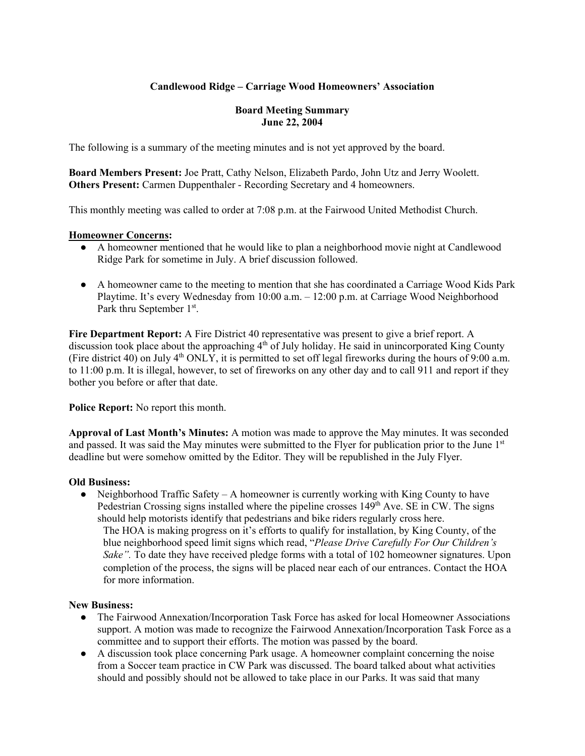## **Candlewood Ridge – Carriage Wood Homeowners' Association**

## **Board Meeting Summary June 22, 2004**

The following is a summary of the meeting minutes and is not yet approved by the board.

**Board Members Present:** Joe Pratt, Cathy Nelson, Elizabeth Pardo, John Utz and Jerry Woolett. **Others Present:** Carmen Duppenthaler - Recording Secretary and 4 homeowners.

This monthly meeting was called to order at 7:08 p.m. at the Fairwood United Methodist Church.

## **Homeowner Concerns:**

- A homeowner mentioned that he would like to plan a neighborhood movie night at Candlewood Ridge Park for sometime in July. A brief discussion followed.
- A homeowner came to the meeting to mention that she has coordinated a Carriage Wood Kids Park Playtime. It's every Wednesday from 10:00 a.m. – 12:00 p.m. at Carriage Wood Neighborhood Park thru September 1<sup>st</sup>.

**Fire Department Report:** A Fire District 40 representative was present to give a brief report. A discussion took place about the approaching  $4<sup>th</sup>$  of July holiday. He said in unincorporated King County (Fire district 40) on July 4<sup>th</sup> ONLY, it is permitted to set off legal fireworks during the hours of 9:00 a.m. to 11:00 p.m. It is illegal, however, to set of fireworks on any other day and to call 911 and report if they bother you before or after that date.

**Police Report:** No report this month.

**Approval of Last Month's Minutes:** A motion was made to approve the May minutes. It was seconded and passed. It was said the May minutes were submitted to the Flyer for publication prior to the June 1st deadline but were somehow omitted by the Editor. They will be republished in the July Flyer.

## **Old Business:**

• Neighborhood Traffic Safety – A homeowner is currently working with King County to have Pedestrian Crossing signs installed where the pipeline crosses  $149<sup>th</sup>$  Ave. SE in CW. The signs should help motorists identify that pedestrians and bike riders regularly cross here.

The HOA is making progress on it's efforts to qualify for installation, by King County, of the blue neighborhood speed limit signs which read, "*Please Drive Carefully For Our Children's Sake"*. To date they have received pledge forms with a total of 102 homeowner signatures. Upon completion of the process, the signs will be placed near each of our entrances. Contact the HOA for more information.

## **New Business:**

- The Fairwood Annexation/Incorporation Task Force has asked for local Homeowner Associations support. A motion was made to recognize the Fairwood Annexation/Incorporation Task Force as a committee and to support their efforts. The motion was passed by the board.
- A discussion took place concerning Park usage. A homeowner complaint concerning the noise from a Soccer team practice in CW Park was discussed. The board talked about what activities should and possibly should not be allowed to take place in our Parks. It was said that many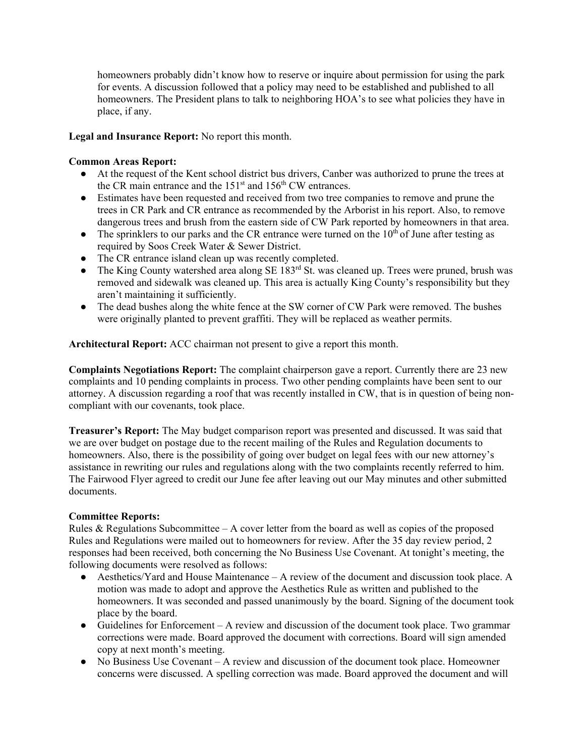homeowners probably didn't know how to reserve or inquire about permission for using the park for events. A discussion followed that a policy may need to be established and published to all homeowners. The President plans to talk to neighboring HOA's to see what policies they have in place, if any.

## **Legal and Insurance Report:** No report this month.

## **Common Areas Report:**

- At the request of the Kent school district bus drivers, Canber was authorized to prune the trees at the CR main entrance and the  $151<sup>st</sup>$  and  $156<sup>th</sup>$  CW entrances.
- Estimates have been requested and received from two tree companies to remove and prune the trees in CR Park and CR entrance as recommended by the Arborist in his report. Also, to remove dangerous trees and brush from the eastern side of CW Park reported by homeowners in that area.
- $\bullet$  The sprinklers to our parks and the CR entrance were turned on the  $10^{th}$  of June after testing as required by Soos Creek Water & Sewer District.
- The CR entrance island clean up was recently completed.
- The King County watershed area along SE 183<sup>rd</sup> St. was cleaned up. Trees were pruned, brush was removed and sidewalk was cleaned up. This area is actually King County's responsibility but they aren't maintaining it sufficiently.
- The dead bushes along the white fence at the SW corner of CW Park were removed. The bushes were originally planted to prevent graffiti. They will be replaced as weather permits.

**Architectural Report:** ACC chairman not present to give a report this month.

**Complaints Negotiations Report:** The complaint chairperson gave a report. Currently there are 23 new complaints and 10 pending complaints in process. Two other pending complaints have been sent to our attorney. A discussion regarding a roof that was recently installed in CW, that is in question of being noncompliant with our covenants, took place.

**Treasurer's Report:** The May budget comparison report was presented and discussed. It was said that we are over budget on postage due to the recent mailing of the Rules and Regulation documents to homeowners. Also, there is the possibility of going over budget on legal fees with our new attorney's assistance in rewriting our rules and regulations along with the two complaints recently referred to him. The Fairwood Flyer agreed to credit our June fee after leaving out our May minutes and other submitted documents.

## **Committee Reports:**

Rules & Regulations Subcommittee – A cover letter from the board as well as copies of the proposed Rules and Regulations were mailed out to homeowners for review. After the 35 day review period, 2 responses had been received, both concerning the No Business Use Covenant. At tonight's meeting, the following documents were resolved as follows:

- Aesthetics/Yard and House Maintenance A review of the document and discussion took place. A motion was made to adopt and approve the Aesthetics Rule as written and published to the homeowners. It was seconded and passed unanimously by the board. Signing of the document took place by the board.
- Guidelines for Enforcement A review and discussion of the document took place. Two grammar corrections were made. Board approved the document with corrections. Board will sign amended copy at next month's meeting.
- No Business Use Covenant A review and discussion of the document took place. Homeowner concerns were discussed. A spelling correction was made. Board approved the document and will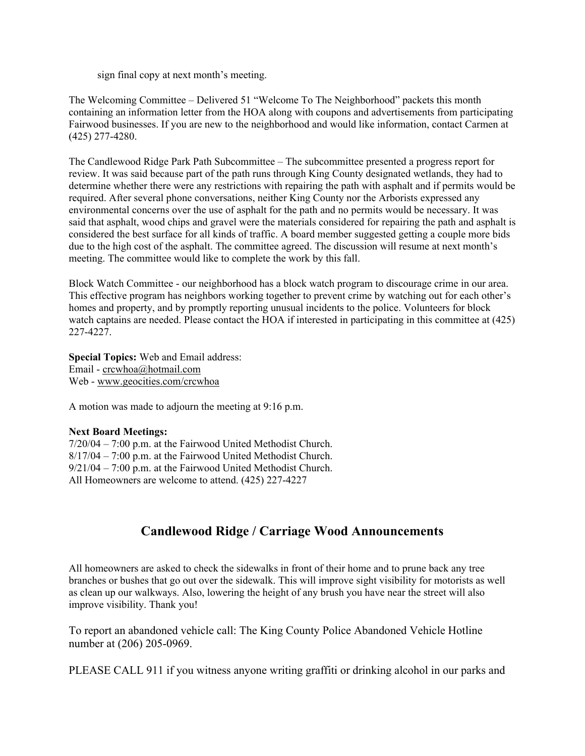sign final copy at next month's meeting.

The Welcoming Committee – Delivered 51 "Welcome To The Neighborhood" packets this month containing an information letter from the HOA along with coupons and advertisements from participating Fairwood businesses. If you are new to the neighborhood and would like information, contact Carmen at (425) 277-4280.

The Candlewood Ridge Park Path Subcommittee – The subcommittee presented a progress report for review. It was said because part of the path runs through King County designated wetlands, they had to determine whether there were any restrictions with repairing the path with asphalt and if permits would be required. After several phone conversations, neither King County nor the Arborists expressed any environmental concerns over the use of asphalt for the path and no permits would be necessary. It was said that asphalt, wood chips and gravel were the materials considered for repairing the path and asphalt is considered the best surface for all kinds of traffic. A board member suggested getting a couple more bids due to the high cost of the asphalt. The committee agreed. The discussion will resume at next month's meeting. The committee would like to complete the work by this fall.

Block Watch Committee - our neighborhood has a block watch program to discourage crime in our area. This effective program has neighbors working together to prevent crime by watching out for each other's homes and property, and by promptly reporting unusual incidents to the police. Volunteers for block watch captains are needed. Please contact the HOA if interested in participating in this committee at (425) 227-4227.

**Special Topics:** Web and Email address: Email - crcwhoa@hotmail.com Web - www.geocities.com/crcwhoa

A motion was made to adjourn the meeting at 9:16 p.m.

## **Next Board Meetings:**

7/20/04 – 7:00 p.m. at the Fairwood United Methodist Church. 8/17/04 – 7:00 p.m. at the Fairwood United Methodist Church. 9/21/04 – 7:00 p.m. at the Fairwood United Methodist Church. All Homeowners are welcome to attend. (425) 227-4227

# **Candlewood Ridge / Carriage Wood Announcements**

All homeowners are asked to check the sidewalks in front of their home and to prune back any tree branches or bushes that go out over the sidewalk. This will improve sight visibility for motorists as well as clean up our walkways. Also, lowering the height of any brush you have near the street will also improve visibility. Thank you!

To report an abandoned vehicle call: The King County Police Abandoned Vehicle Hotline number at (206) 205-0969.

PLEASE CALL 911 if you witness anyone writing graffiti or drinking alcohol in our parks and